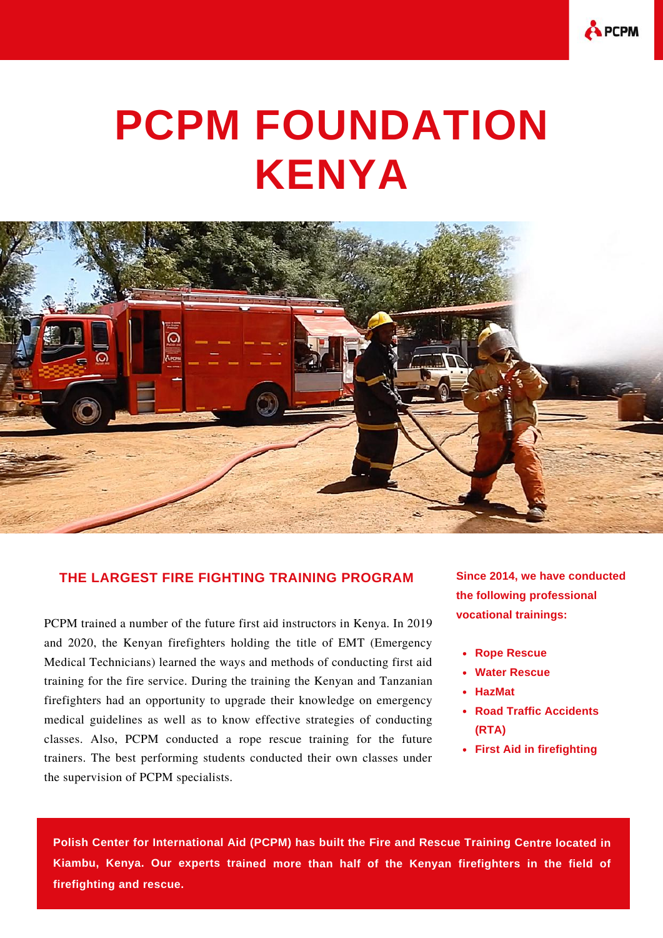

## **PCPM FOUNDATION KENYA**



## **THE LARGEST FIRE FIGHTING TRAINING PROGRAM**

PCPM trained a number of the future first aid instructors in Kenya. In 2019 and 2020, the Kenyan firefighters holding the title of EMT (Emergency Medical Technicians) learned the ways and methods of conducting first aid training for the fire service. During the training the Kenyan and Tanzanian firefighters had an opportunity to upgrade their knowledge on emergency medical guidelines as well as to know effective strategies of conducting classes. Also, PCPM conducted a rope rescue training for the future trainers. The best performing students conducted their own classes under the supervision of PCPM specialists.

**Since 2014, we have conducted the following professional vocational trainings:**

- **Rope Rescue**
- **Water Rescue**
- **HazMat**
- **Road Traffic Accidents (RTA)**
- **First Aid in firefighting**

**Polish Center for International Aid (PCPM) has built the Fire and Rescue Training Centre located in Kiambu, Kenya. Our experts trained more than half of the Kenyan firefighters in the field of firefighting and rescue.**